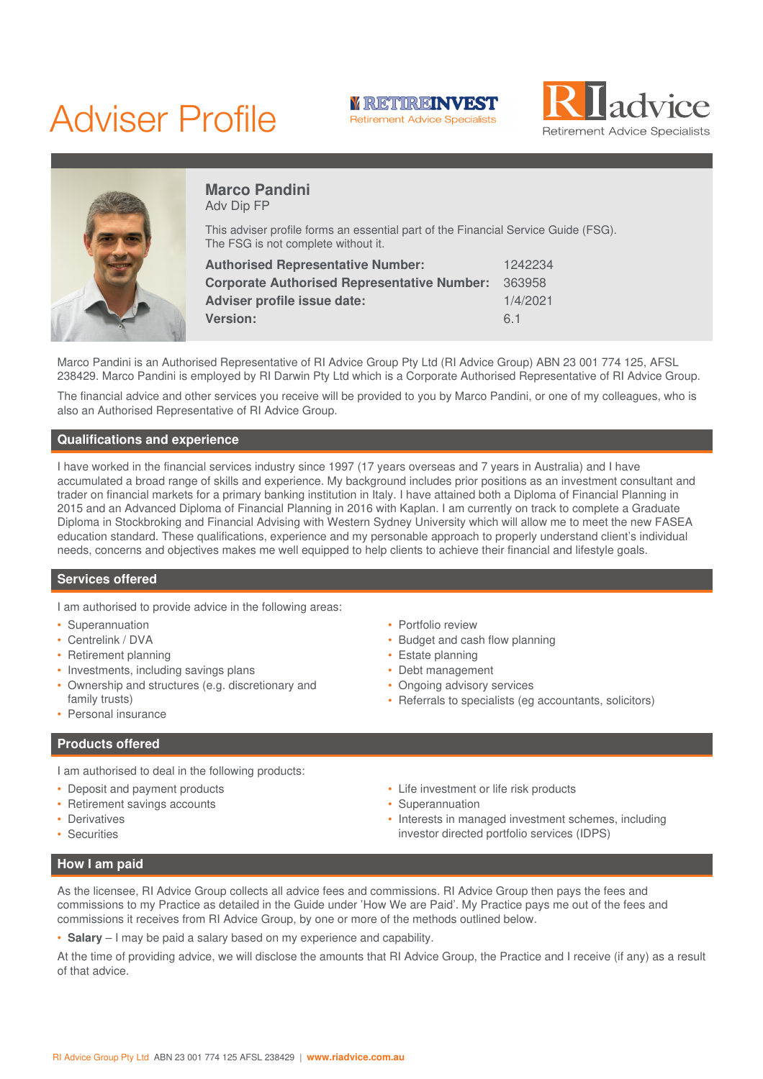# Adviser Profile







## **Marco Pandini** Adv Dip FP

This adviser profile forms an essential part of the Financial Service Guide (FSG). The FSG is not complete without it.

| <b>Authorised Representative Number:</b>           | 1242234  |
|----------------------------------------------------|----------|
| <b>Corporate Authorised Representative Number:</b> | 363958   |
| Adviser profile issue date:                        | 1/4/2021 |
| <b>Version:</b>                                    | 6.1      |

Marco Pandini is an Authorised Representative of RI Advice Group Pty Ltd (RI Advice Group) ABN 23 001 774 125, AFSL 238429. Marco Pandini is employed by RI Darwin Pty Ltd which is a Corporate Authorised Representative of RI Advice Group.

The financial advice and other services you receive will be provided to you by Marco Pandini, or one of my colleagues, who is also an Authorised Representative of RI Advice Group.

## **Qualifications and experience**

I have worked in the financial services industry since 1997 (17 years overseas and 7 years in Australia) and I have accumulated a broad range of skills and experience. My background includes prior positions as an investment consultant and trader on financial markets for a primary banking institution in Italy. I have attained both a Diploma of Financial Planning in 2015 and an Advanced Diploma of Financial Planning in 2016 with Kaplan. I am currently on track to complete a Graduate Diploma in Stockbroking and Financial Advising with Western Sydney University which will allow me to meet the new FASEA education standard. These qualifications, experience and my personable approach to properly understand client's individual needs, concerns and objectives makes me well equipped to help clients to achieve their financial and lifestyle goals.

#### **Services offered**

I am authorised to provide advice in the following areas:

- Superannuation
- Centrelink / DVA
- Retirement planning
- Investments, including savings plans
- Ownership and structures (e.g. discretionary and family trusts)
- Personal insurance

# **Products offered**

I am authorised to deal in the following products:

- Deposit and payment products
- Retirement savings accounts
- **Derivatives**
- **Securities**
- Portfolio review
- Budget and cash flow planning
- Estate planning
- Debt management
- Ongoing advisory services
- Referrals to specialists (eg accountants, solicitors)
- Life investment or life risk products • Superannuation
	-
- Interests in managed investment schemes, including investor directed portfolio services (IDPS)

## **How I am paid**

As the licensee, RI Advice Group collects all advice fees and commissions. RI Advice Group then pays the fees and commissions to my Practice as detailed in the Guide under 'How We are Paid'. My Practice pays me out of the fees and commissions it receives from RI Advice Group, by one or more of the methods outlined below.

• **Salary** – I may be paid a salary based on my experience and capability.

At the time of providing advice, we will disclose the amounts that RI Advice Group, the Practice and I receive (if any) as a result of that advice.